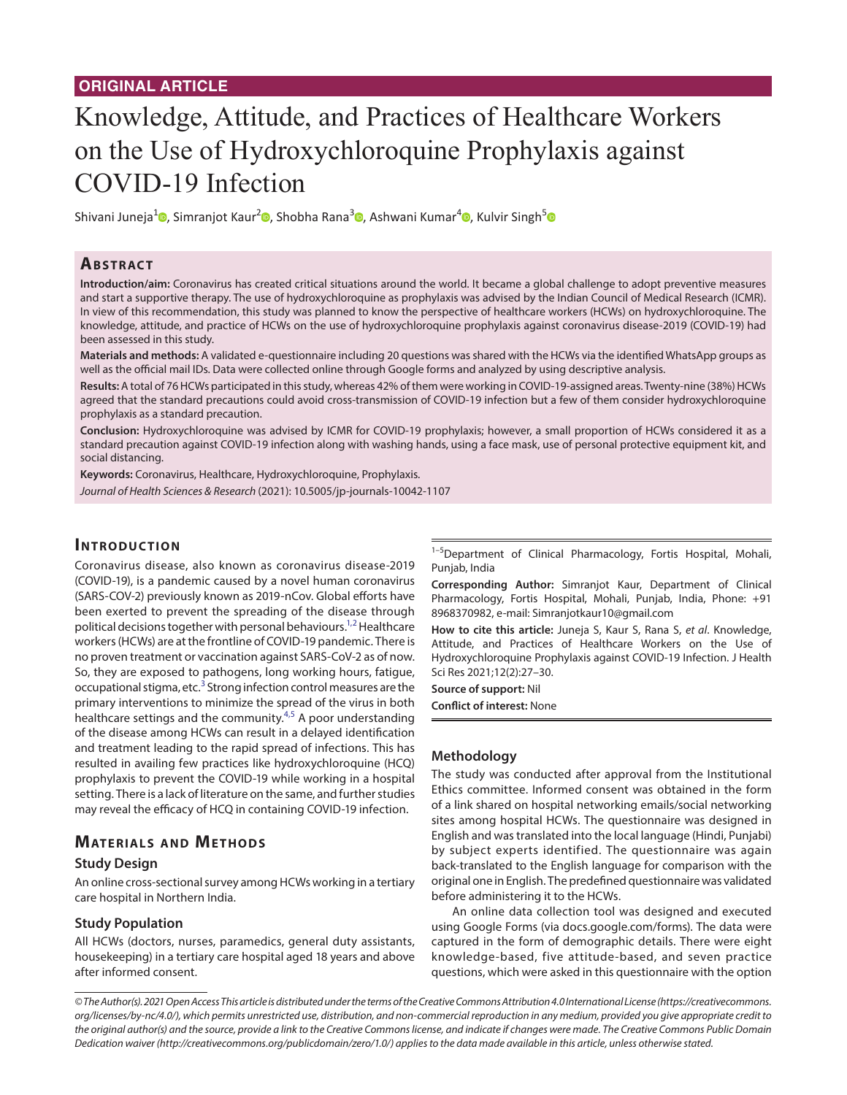# Knowledge, Attitude, and Practices of Healthcare Workers on the Use of Hydroxychloroquine Prophylaxis against COVID-19 Infection

Shivani Juneja<sup>1</sup> [,](https://orcid.org/0000-0003-0063-0806) Simranjot Kaur<sup>[2](https://orcid.org/0000-0003-3110-2838)</sup> , Shobha Rana<sup>3</sup> , Ashwani Kumar<sup>4</sup> , Kulvir Singh<sup>[5](https://orcid.org/0000-0002-3749-7079)</sup>

### **ABSTRACT**

**Introduction/aim:** Coronavirus has created critical situations around the world. It became a global challenge to adopt preventive measures and start a supportive therapy. The use of hydroxychloroquine as prophylaxis was advised by the Indian Council of Medical Research (ICMR). In view of this recommendation, this study was planned to know the perspective of healthcare workers (HCWs) on hydroxychloroquine. The knowledge, attitude, and practice of HCWs on the use of hydroxychloroquine prophylaxis against coronavirus disease-2019 (COVID-19) had been assessed in this study.

**Materials and methods:** A validated e-questionnaire including 20 questions was shared with the HCWs via the identified WhatsApp groups as well as the official mail IDs. Data were collected online through Google forms and analyzed by using descriptive analysis.

**Results:** A total of 76 HCWs participated in this study, whereas 42% of them were working in COVID-19-assigned areas. Twenty-nine (38%) HCWs agreed that the standard precautions could avoid cross-transmission of COVID-19 infection but a few of them consider hydroxychloroquine prophylaxis as a standard precaution.

**Conclusion:** Hydroxychloroquine was advised by ICMR for COVID-19 prophylaxis; however, a small proportion of HCWs considered it as a standard precaution against COVID-19 infection along with washing hands, using a face mask, use of personal protective equipment kit, and social distancing.

**Keywords:** Coronavirus, Healthcare, Hydroxychloroquine, Prophylaxis. *Journal of Health Sciences & Research* (2021): 10.5005/jp-journals-10042-1107

### **INTRODUCTION**

Coronavirus disease, also known as coronavirus disease-2019 (COVID-19), is a pandemic caused by a novel human coronavirus (SARS-COV-2) previously known as 2019-nCov. Global efforts have been exerted to prevent the spreading of the disease through political decisions together with personal behaviours.<sup>1,[2](#page-2-1)</sup> Healthcare workers (HCWs) are at the frontline of COVID-19 pandemic. There is no proven treatment or vaccination against SARS-CoV-2 as of now. So, they are exposed to pathogens, long working hours, fatigue, occupational stigma, etc.<sup>[3](#page-2-2)</sup> Strong infection control measures are the primary interventions to minimize the spread of the virus in both healthcare settings and the community.<sup>[4,](#page-2-3)[5](#page-2-4)</sup> A poor understanding of the disease among HCWs can result in a delayed identification and treatment leading to the rapid spread of infections. This has resulted in availing few practices like hydroxychloroquine (HCQ) prophylaxis to prevent the COVID-19 while working in a hospital setting. There is a lack of literature on the same, and further studies may reveal the efficacy of HCQ in containing COVID-19 infection.

### **MATERIALS AND METHODS**

#### **Study Design**

An online cross-sectional survey among HCWs working in a tertiary care hospital in Northern India.

### **Study Population**

All HCWs (doctors, nurses, paramedics, general duty assistants, housekeeping) in a tertiary care hospital aged 18 years and above after informed consent.

<sup>1-5</sup>Department of Clinical Pharmacology, Fortis Hospital, Mohali, Punjab, India

**Corresponding Author:** Simranjot Kaur, Department of Clinical Pharmacology, Fortis Hospital, Mohali, Punjab, India, Phone: +91 8968370982, e-mail: Simranjotkaur10@gmail.com

**How to cite this article:** Juneja S, Kaur S, Rana S, *et al*. Knowledge, Attitude, and Practices of Healthcare Workers on the Use of Hydroxychloroquine Prophylaxis against COVID-19 Infection. J Health Sci Res 2021;12(2):27–30.

**Source of support:** Nil

**Conflict of interest:** None

### **Methodology**

The study was conducted after approval from the Institutional Ethics committee. Informed consent was obtained in the form of a link shared on hospital networking emails/social networking sites among hospital HCWs. The questionnaire was designed in English and was translated into the local language (Hindi, Punjabi) by subject experts identified. The questionnaire was again back-translated to the English language for comparison with the original one in English. The predefined questionnaire was validated before administering it to the HCWs.

An online data collection tool was designed and executed using Google Forms (via docs.google.com/forms). The data were captured in the form of demographic details. There were eight knowledge-based, five attitude-based, and seven practice questions, which were asked in this questionnaire with the option

*© The Author(s). 2021 Open Access This article is distributed under the terms of the Creative Commons Attribution 4.0 International License ([https://creativecommons.](https://creativecommons. org/licenses/by-nc/4.0/) [org/licenses/by-nc/4.0/](https://creativecommons. org/licenses/by-nc/4.0/)), which permits unrestricted use, distribution, and non-commercial reproduction in any medium, provided you give appropriate credit to the original author(s) and the source, provide a link to the Creative Commons license, and indicate if changes were made. The Creative Commons Public Domain Dedication waiver ([http://creativecommons.org/publicdomain/zero/1.0/\)](http://creativecommons.org/publicdomain/zero/1.0/) applies to the data made available in this article, unless otherwise stated.*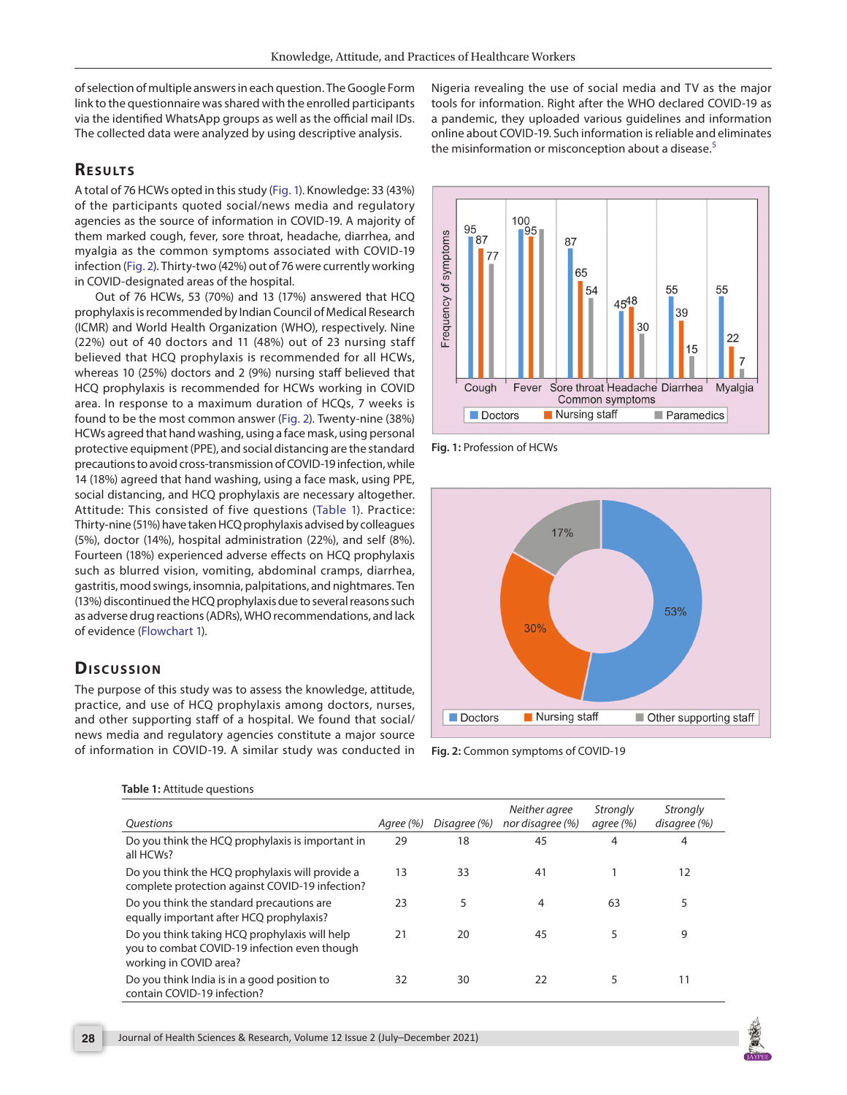of selection of multiple answers in each question. The Google Form link to the questionnaire was shared with the enrolled participants via the identified WhatsApp groups as well as the official mail IDs. The collected data were analyzed by using descriptive analysis.

# **RESULTS**

A total of 76 HCWs opted in this study [\(Fig. 1](#page-1-0)). Knowledge: 33 (43%) of the participants quoted social/news media and regulatory agencies as the source of information in COVID-19. A majority of them marked cough, fever, sore throat, headache, diarrhea, and myalgia as the common symptoms associated with COVID-19 infection ([Fig. 2\)](#page-1-1). Thirty-two (42%) out of 76 were currently working in COVID-designated areas of the hospital.

Out of 76 HCWs, 53 (70%) and 13 (17%) answered that HCQ prophylaxis is recommended by Indian Council of Medical Research (ICMR) and World Health Organization (WHO), respectively. Nine (22%) out of 40 doctors and 11 (48%) out of 23 nursing staff believed that HCQ prophylaxis is recommended for all HCWs, whereas 10 (25%) doctors and 2 (9%) nursing staff believed that HCQ prophylaxis is recommended for HCWs working in COVID area. In response to a maximum duration of HCQs, 7 weeks is found to be the most common answer ([Fig. 2](#page-1-1)). Twenty-nine (38%) HCWs agreed that hand washing, using a face mask, using personal protective equipment (PPE), and social distancing are the standard precautions to avoid cross-transmission of COVID-19 infection, while 14 (18%) agreed that hand washing, using a face mask, using PPE, social distancing, and HCQ prophylaxis are necessary altogether. Attitude: This consisted of five questions ([Table 1](#page-1-2)). Practice: Thirty-nine (51%) have taken HCQ prophylaxis advised by colleagues (5%), doctor (14%), hospital administration (22%), and self (8%). Fourteen (18%) experienced adverse effects on HCQ prophylaxis such as blurred vision, vomiting, abdominal cramps, diarrhea, gastritis, mood swings, insomnia, palpitations, and nightmares. Ten (13%) discontinued the HCQ prophylaxis due to several reasons such as adverse drug reactions (ADRs), WHO recommendations, and lack of evidence [\(Flowchart 1\)](#page-2-5).

# **Dis c u s sio n**

The purpose of this study was to assess the knowledge, attitude, practice, and use of HCQ prophylaxis among doctors, nurses, and other supporting staff of a hospital. We found that social/ news media and regulatory agencies constitute a major source of information in COVID-19. A similar study was conducted in Nigeria revealing the use of social media and TV as the major tools for information. Right after the WHO declared COVID-19 as a pandemic, they uploaded various guidelines and information online about COVID-19. Such information is reliable and eliminates the misinformation or misconception about a disease.<sup>[5](#page-2-4)</sup>



<span id="page-1-0"></span>**Fig. 1:** Profession of HCWs



<span id="page-1-1"></span>**Fig. 2:** Common symptoms of COVID-19

<span id="page-1-2"></span>

| Table 1: Attitude questions |
|-----------------------------|
|-----------------------------|

| <i><u><b>Ouestions</b></u></i>                                                                                          | Agree (%) | Disagree (%) | Neither agree<br>nor disagree (%) | Strongly<br>agree (%) | Strongly<br>disagree (%) |
|-------------------------------------------------------------------------------------------------------------------------|-----------|--------------|-----------------------------------|-----------------------|--------------------------|
| Do you think the HCQ prophylaxis is important in<br>all HCWs?                                                           | 29        | 18           | 45                                | 4                     | 4                        |
| Do you think the HCQ prophylaxis will provide a<br>complete protection against COVID-19 infection?                      | 13        | 33           | 41                                |                       | 12                       |
| Do you think the standard precautions are<br>equally important after HCQ prophylaxis?                                   | 23        | 5            | $\overline{4}$                    | 63                    | 5                        |
| Do you think taking HCQ prophylaxis will help<br>you to combat COVID-19 infection even though<br>working in COVID area? | 21        | 20           | 45                                | 5                     | 9                        |
| Do you think India is in a good position to<br>contain COVID-19 infection?                                              | 32        | 30           | 22                                |                       | 11                       |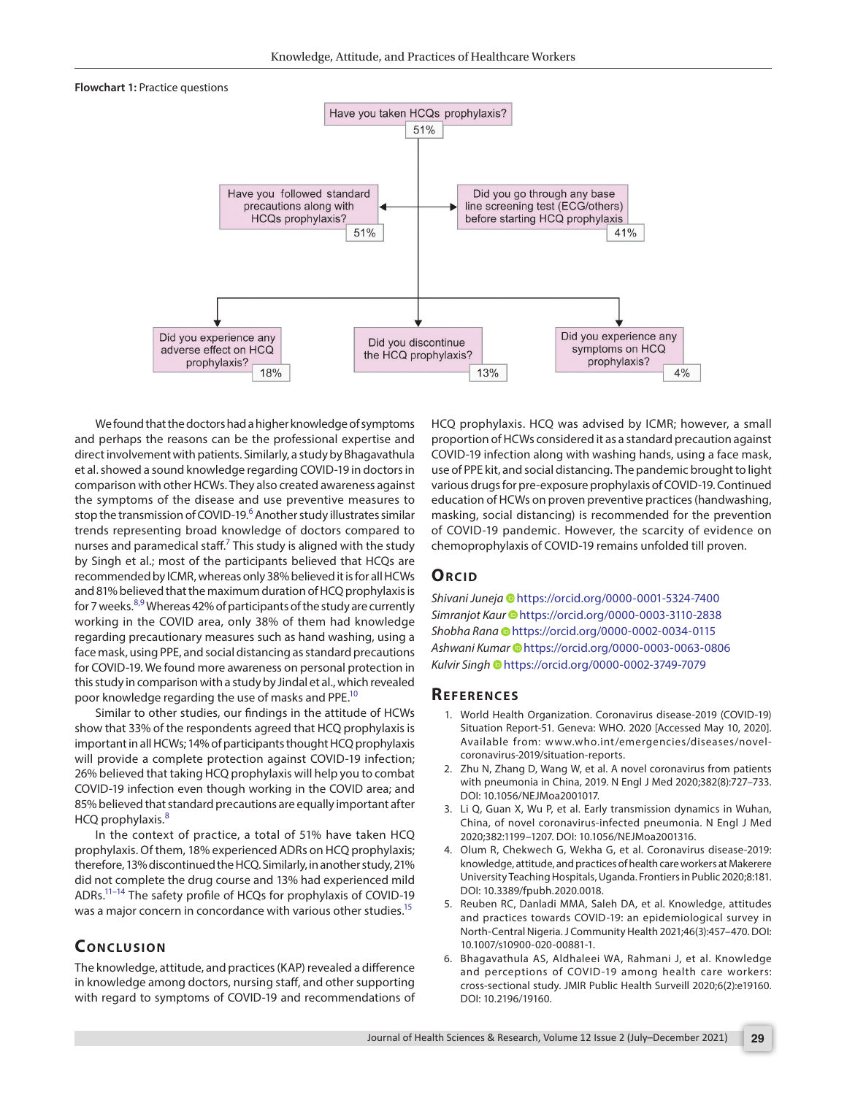#### <span id="page-2-5"></span>**Flowchart 1:** Practice questions



We found that the doctors had a higher knowledge of symptoms and perhaps the reasons can be the professional expertise and direct involvement with patients. Similarly, a study by Bhagavathula et al. showed a sound knowledge regarding COVID-19 in doctors in comparison with other HCWs. They also created awareness against the symptoms of the disease and use preventive measures to stop the transmission of COVID-19.<sup>[6](#page-2-6)</sup> Another study illustrates similar trends representing broad knowledge of doctors compared to nurses and paramedical staff.<sup>7</sup> This study is aligned with the study by Singh et al.; most of the participants believed that HCQs are recommended by ICMR, whereas only 38% believed it is for all HCWs and 81% believed that the maximum duration of HCQ prophylaxis is for 7 weeks.<sup>[8](#page-3-1)[,9](#page-3-2)</sup> Whereas 42% of participants of the study are currently working in the COVID area, only 38% of them had knowledge regarding precautionary measures such as hand washing, using a face mask, using PPE, and social distancing as standard precautions for COVID-19. We found more awareness on personal protection in this study in comparison with a study by Jindal et al., which revealed poor knowledge regarding the use of masks and PPE[.10](#page-3-3)

Similar to other studies, our findings in the attitude of HCWs show that 33% of the respondents agreed that HCQ prophylaxis is important in all HCWs; 14% of participants thought HCQ prophylaxis will provide a complete protection against COVID-19 infection; 26% believed that taking HCQ prophylaxis will help you to combat COVID-19 infection even though working in the COVID area; and 85% believed that standard precautions are equally important after HCQ prophylaxis.<sup>[8](#page-3-1)</sup>

In the context of practice, a total of 51% have taken HCQ prophylaxis. Of them, 18% experienced ADRs on HCQ prophylaxis; therefore, 13% discontinued the HCQ. Similarly, in another study, 21% did not complete the drug course and 13% had experienced mild ADRs[.11](#page-3-4)[–14](#page-3-5) The safety profile of HCQs for prophylaxis of COVID-19 was a major concern in concordance with various other studies.<sup>15</sup>

## **CONCLUSION**

The knowledge, attitude, and practices (KAP) revealed a difference in knowledge among doctors, nursing staff, and other supporting with regard to symptoms of COVID-19 and recommendations of HCQ prophylaxis. HCQ was advised by ICMR; however, a small proportion of HCWs considered it as a standard precaution against COVID-19 infection along with washing hands, using a face mask, use of PPE kit, and social distancing. The pandemic brought to light various drugs for pre-exposure prophylaxis of COVID-19. Continued education of HCWs on proven preventive practices (handwashing, masking, social distancing) is recommended for the prevention of COVID-19 pandemic. However, the scarcity of evidence on chemoprophylaxis of COVID-19 remains unfolded till proven.

### **ORCID**

*Shivani Juneja* [h](https://orcid.org/0000-0001-5324-7400)ttps://orcid.org/0000-0001-5324-7400 *Simranjot Kaur* [h](https://orcid.org/0000-0003-3110-2838)ttps://orcid.org/0000-0003-3110-2838 *Shobha Rana* [h](https://orcid.org/0000-0002-0034-0115)ttps://orcid.org/0000-0002-0034-0115 *Ashwani Kumar* [h](https://orcid.org/0000-0003-0063-0806)ttps://orcid.org/0000-0003-0063-0806 *Kulvir Singh* [h](https://orcid.org/0000-0002-3749-7079)ttps://orcid.org/0000-0002-3749-7079

#### **Re f e r e n c e s**

- <span id="page-2-0"></span>1. World Health Organization. Coronavirus disease-2019 (COVID-19) Situation Report-51. Geneva: WHO. 2020 [Accessed May 10, 2020]. Available from: www.who.int/emergencies/diseases/novelcoronavirus-2019/situation-reports.
- <span id="page-2-1"></span>2. Zhu N, Zhang D, Wang W, et al. A novel coronavirus from patients with pneumonia in China, 2019. N Engl J Med 2020;382(8):727–733. DOI: 10.1056/NEJMoa2001017.
- <span id="page-2-2"></span>3. Li Q, Guan X, Wu P, et al. Early transmission dynamics in Wuhan, China, of novel coronavirus-infected pneumonia. N Engl J Med 2020;382:1199–1207. DOI: 10.1056/NEJMoa2001316.
- <span id="page-2-3"></span>4. Olum R, Chekwech G, Wekha G, et al. Coronavirus disease-2019: knowledge, attitude, and practices of health care workers at Makerere University Teaching Hospitals, Uganda. Frontiers in Public 2020;8:181. DOI: 10.3389/fpubh.2020.0018.
- <span id="page-2-4"></span>5. Reuben RC, Danladi MMA, Saleh DA, et al. Knowledge, attitudes and practices towards COVID-19: an epidemiological survey in North-Central Nigeria. J Community Health 2021;46(3):457–470. DOI: 10.1007/s10900-020-00881-1.
- <span id="page-2-6"></span>6. Bhagavathula AS, Aldhaleei WA, Rahmani J, et al. Knowledge and perceptions of COVID-19 among health care workers: cross-sectional study. JMIR Public Health Surveill 2020;6(2):e19160. DOI: 10.2196/19160.